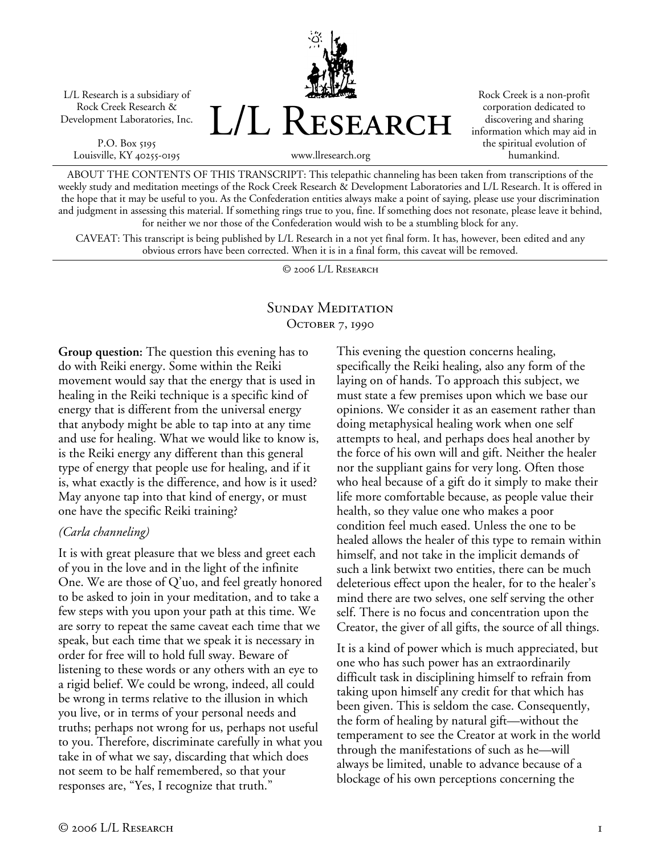L/L Research is a subsidiary of Rock Creek Research & Development Laboratories, Inc.

P.O. Box 5195 Louisville, KY 40255-0195



Rock Creek is a non-profit corporation dedicated to discovering and sharing information which may aid in the spiritual evolution of humankind.

ABOUT THE CONTENTS OF THIS TRANSCRIPT: This telepathic channeling has been taken from transcriptions of the weekly study and meditation meetings of the Rock Creek Research & Development Laboratories and L/L Research. It is offered in the hope that it may be useful to you. As the Confederation entities always make a point of saying, please use your discrimination and judgment in assessing this material. If something rings true to you, fine. If something does not resonate, please leave it behind, for neither we nor those of the Confederation would wish to be a stumbling block for any.

CAVEAT: This transcript is being published by L/L Research in a not yet final form. It has, however, been edited and any obvious errors have been corrected. When it is in a final form, this caveat will be removed.

© 2006 L/L Research

### SUNDAY MEDITATION OCTOBER 7, 1990

**Group question:** The question this evening has to do with Reiki energy. Some within the Reiki movement would say that the energy that is used in healing in the Reiki technique is a specific kind of energy that is different from the universal energy that anybody might be able to tap into at any time and use for healing. What we would like to know is, is the Reiki energy any different than this general type of energy that people use for healing, and if it is, what exactly is the difference, and how is it used? May anyone tap into that kind of energy, or must one have the specific Reiki training?

#### *(Carla channeling)*

It is with great pleasure that we bless and greet each of you in the love and in the light of the infinite One. We are those of Q'uo, and feel greatly honored to be asked to join in your meditation, and to take a few steps with you upon your path at this time. We are sorry to repeat the same caveat each time that we speak, but each time that we speak it is necessary in order for free will to hold full sway. Beware of listening to these words or any others with an eye to a rigid belief. We could be wrong, indeed, all could be wrong in terms relative to the illusion in which you live, or in terms of your personal needs and truths; perhaps not wrong for us, perhaps not useful to you. Therefore, discriminate carefully in what you take in of what we say, discarding that which does not seem to be half remembered, so that your responses are, "Yes, I recognize that truth."

This evening the question concerns healing, specifically the Reiki healing, also any form of the laying on of hands. To approach this subject, we must state a few premises upon which we base our opinions. We consider it as an easement rather than doing metaphysical healing work when one self attempts to heal, and perhaps does heal another by the force of his own will and gift. Neither the healer nor the suppliant gains for very long. Often those who heal because of a gift do it simply to make their life more comfortable because, as people value their health, so they value one who makes a poor condition feel much eased. Unless the one to be healed allows the healer of this type to remain within himself, and not take in the implicit demands of such a link betwixt two entities, there can be much deleterious effect upon the healer, for to the healer's mind there are two selves, one self serving the other self. There is no focus and concentration upon the Creator, the giver of all gifts, the source of all things.

It is a kind of power which is much appreciated, but one who has such power has an extraordinarily difficult task in disciplining himself to refrain from taking upon himself any credit for that which has been given. This is seldom the case. Consequently, the form of healing by natural gift—without the temperament to see the Creator at work in the world through the manifestations of such as he—will always be limited, unable to advance because of a blockage of his own perceptions concerning the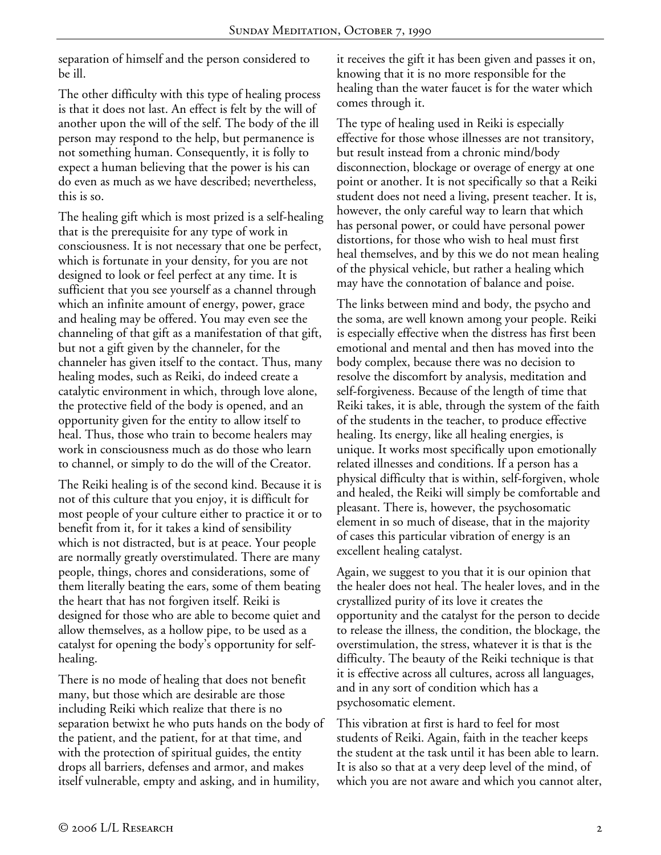separation of himself and the person considered to be ill.

The other difficulty with this type of healing process is that it does not last. An effect is felt by the will of another upon the will of the self. The body of the ill person may respond to the help, but permanence is not something human. Consequently, it is folly to expect a human believing that the power is his can do even as much as we have described; nevertheless, this is so.

The healing gift which is most prized is a self-healing that is the prerequisite for any type of work in consciousness. It is not necessary that one be perfect, which is fortunate in your density, for you are not designed to look or feel perfect at any time. It is sufficient that you see yourself as a channel through which an infinite amount of energy, power, grace and healing may be offered. You may even see the channeling of that gift as a manifestation of that gift, but not a gift given by the channeler, for the channeler has given itself to the contact. Thus, many healing modes, such as Reiki, do indeed create a catalytic environment in which, through love alone, the protective field of the body is opened, and an opportunity given for the entity to allow itself to heal. Thus, those who train to become healers may work in consciousness much as do those who learn to channel, or simply to do the will of the Creator.

The Reiki healing is of the second kind. Because it is not of this culture that you enjoy, it is difficult for most people of your culture either to practice it or to benefit from it, for it takes a kind of sensibility which is not distracted, but is at peace. Your people are normally greatly overstimulated. There are many people, things, chores and considerations, some of them literally beating the ears, some of them beating the heart that has not forgiven itself. Reiki is designed for those who are able to become quiet and allow themselves, as a hollow pipe, to be used as a catalyst for opening the body's opportunity for selfhealing.

There is no mode of healing that does not benefit many, but those which are desirable are those including Reiki which realize that there is no separation betwixt he who puts hands on the body of the patient, and the patient, for at that time, and with the protection of spiritual guides, the entity drops all barriers, defenses and armor, and makes itself vulnerable, empty and asking, and in humility,

it receives the gift it has been given and passes it on, knowing that it is no more responsible for the healing than the water faucet is for the water which comes through it.

The type of healing used in Reiki is especially effective for those whose illnesses are not transitory, but result instead from a chronic mind/body disconnection, blockage or overage of energy at one point or another. It is not specifically so that a Reiki student does not need a living, present teacher. It is, however, the only careful way to learn that which has personal power, or could have personal power distortions, for those who wish to heal must first heal themselves, and by this we do not mean healing of the physical vehicle, but rather a healing which may have the connotation of balance and poise.

The links between mind and body, the psycho and the soma, are well known among your people. Reiki is especially effective when the distress has first been emotional and mental and then has moved into the body complex, because there was no decision to resolve the discomfort by analysis, meditation and self-forgiveness. Because of the length of time that Reiki takes, it is able, through the system of the faith of the students in the teacher, to produce effective healing. Its energy, like all healing energies, is unique. It works most specifically upon emotionally related illnesses and conditions. If a person has a physical difficulty that is within, self-forgiven, whole and healed, the Reiki will simply be comfortable and pleasant. There is, however, the psychosomatic element in so much of disease, that in the majority of cases this particular vibration of energy is an excellent healing catalyst.

Again, we suggest to you that it is our opinion that the healer does not heal. The healer loves, and in the crystallized purity of its love it creates the opportunity and the catalyst for the person to decide to release the illness, the condition, the blockage, the overstimulation, the stress, whatever it is that is the difficulty. The beauty of the Reiki technique is that it is effective across all cultures, across all languages, and in any sort of condition which has a psychosomatic element.

This vibration at first is hard to feel for most students of Reiki. Again, faith in the teacher keeps the student at the task until it has been able to learn. It is also so that at a very deep level of the mind, of which you are not aware and which you cannot alter,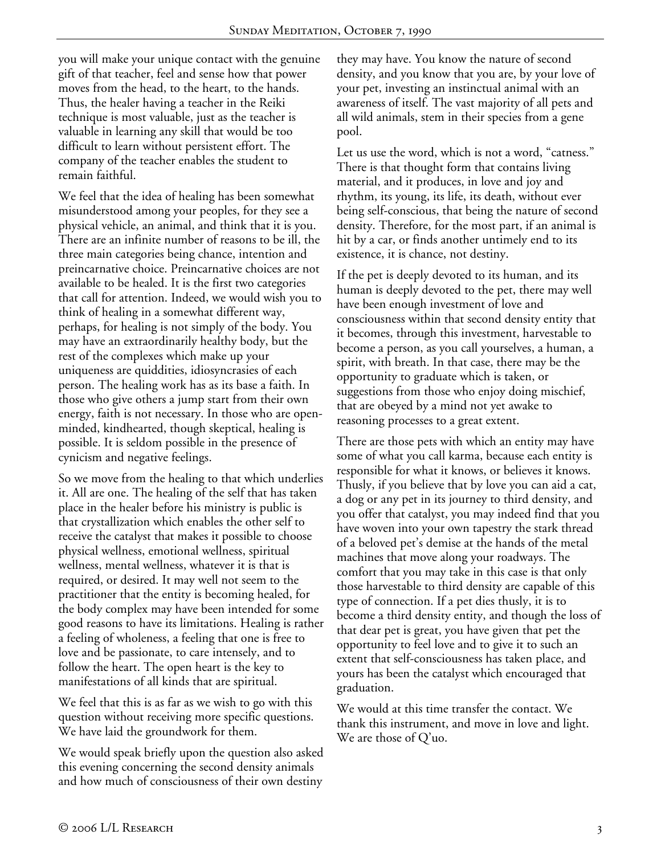you will make your unique contact with the genuine gift of that teacher, feel and sense how that power moves from the head, to the heart, to the hands. Thus, the healer having a teacher in the Reiki technique is most valuable, just as the teacher is valuable in learning any skill that would be too difficult to learn without persistent effort. The company of the teacher enables the student to remain faithful.

We feel that the idea of healing has been somewhat misunderstood among your peoples, for they see a physical vehicle, an animal, and think that it is you. There are an infinite number of reasons to be ill, the three main categories being chance, intention and preincarnative choice. Preincarnative choices are not available to be healed. It is the first two categories that call for attention. Indeed, we would wish you to think of healing in a somewhat different way, perhaps, for healing is not simply of the body. You may have an extraordinarily healthy body, but the rest of the complexes which make up your uniqueness are quiddities, idiosyncrasies of each person. The healing work has as its base a faith. In those who give others a jump start from their own energy, faith is not necessary. In those who are openminded, kindhearted, though skeptical, healing is possible. It is seldom possible in the presence of cynicism and negative feelings.

So we move from the healing to that which underlies it. All are one. The healing of the self that has taken place in the healer before his ministry is public is that crystallization which enables the other self to receive the catalyst that makes it possible to choose physical wellness, emotional wellness, spiritual wellness, mental wellness, whatever it is that is required, or desired. It may well not seem to the practitioner that the entity is becoming healed, for the body complex may have been intended for some good reasons to have its limitations. Healing is rather a feeling of wholeness, a feeling that one is free to love and be passionate, to care intensely, and to follow the heart. The open heart is the key to manifestations of all kinds that are spiritual.

We feel that this is as far as we wish to go with this question without receiving more specific questions. We have laid the groundwork for them.

We would speak briefly upon the question also asked this evening concerning the second density animals and how much of consciousness of their own destiny they may have. You know the nature of second density, and you know that you are, by your love of your pet, investing an instinctual animal with an awareness of itself. The vast majority of all pets and all wild animals, stem in their species from a gene pool.

Let us use the word, which is not a word, "catness." There is that thought form that contains living material, and it produces, in love and joy and rhythm, its young, its life, its death, without ever being self-conscious, that being the nature of second density. Therefore, for the most part, if an animal is hit by a car, or finds another untimely end to its existence, it is chance, not destiny.

If the pet is deeply devoted to its human, and its human is deeply devoted to the pet, there may well have been enough investment of love and consciousness within that second density entity that it becomes, through this investment, harvestable to become a person, as you call yourselves, a human, a spirit, with breath. In that case, there may be the opportunity to graduate which is taken, or suggestions from those who enjoy doing mischief, that are obeyed by a mind not yet awake to reasoning processes to a great extent.

There are those pets with which an entity may have some of what you call karma, because each entity is responsible for what it knows, or believes it knows. Thusly, if you believe that by love you can aid a cat, a dog or any pet in its journey to third density, and you offer that catalyst, you may indeed find that you have woven into your own tapestry the stark thread of a beloved pet's demise at the hands of the metal machines that move along your roadways. The comfort that you may take in this case is that only those harvestable to third density are capable of this type of connection. If a pet dies thusly, it is to become a third density entity, and though the loss of that dear pet is great, you have given that pet the opportunity to feel love and to give it to such an extent that self-consciousness has taken place, and yours has been the catalyst which encouraged that graduation.

We would at this time transfer the contact. We thank this instrument, and move in love and light. We are those of Q'uo.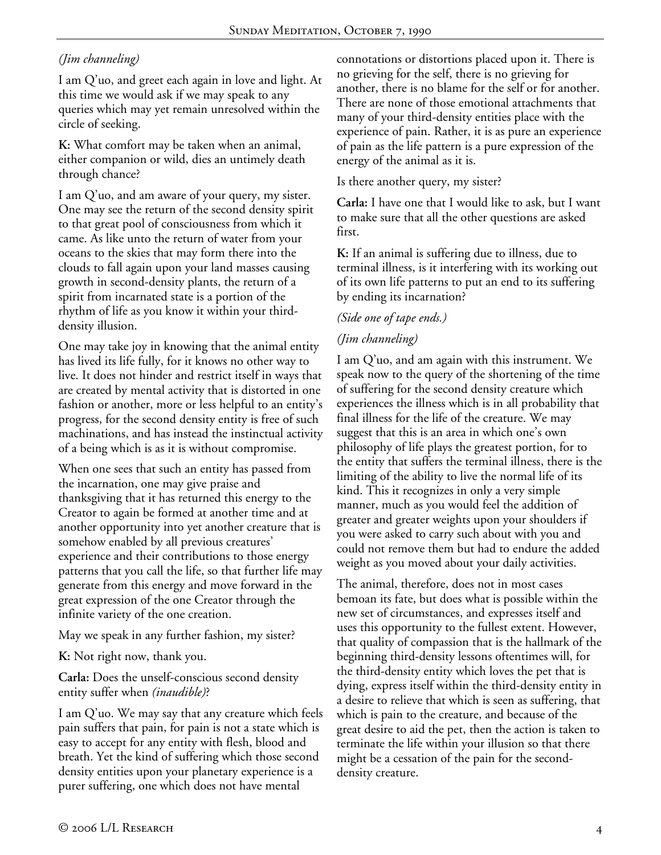# *(Jim channeling)*

I am Q'uo, and greet each again in love and light. At this time we would ask if we may speak to any queries which may yet remain unresolved within the circle of seeking.

**K:** What comfort may be taken when an animal, either companion or wild, dies an untimely death through chance?

I am Q'uo, and am aware of your query, my sister. One may see the return of the second density spirit to that great pool of consciousness from which it came. As like unto the return of water from your oceans to the skies that may form there into the clouds to fall again upon your land masses causing growth in second-density plants, the return of a spirit from incarnated state is a portion of the rhythm of life as you know it within your thirddensity illusion.

One may take joy in knowing that the animal entity has lived its life fully, for it knows no other way to live. It does not hinder and restrict itself in ways that are created by mental activity that is distorted in one fashion or another, more or less helpful to an entity's progress, for the second density entity is free of such machinations, and has instead the instinctual activity of a being which is as it is without compromise.

When one sees that such an entity has passed from the incarnation, one may give praise and thanksgiving that it has returned this energy to the Creator to again be formed at another time and at another opportunity into yet another creature that is somehow enabled by all previous creatures' experience and their contributions to those energy patterns that you call the life, so that further life may generate from this energy and move forward in the great expression of the one Creator through the infinite variety of the one creation.

May we speak in any further fashion, my sister?

**K:** Not right now, thank you.

**Carla:** Does the unself-conscious second density entity suffer when *(inaudible)*?

I am Q'uo. We may say that any creature which feels pain suffers that pain, for pain is not a state which is easy to accept for any entity with flesh, blood and breath. Yet the kind of suffering which those second density entities upon your planetary experience is a purer suffering, one which does not have mental

connotations or distortions placed upon it. There is no grieving for the self, there is no grieving for another, there is no blame for the self or for another. There are none of those emotional attachments that many of your third-density entities place with the experience of pain. Rather, it is as pure an experience of pain as the life pattern is a pure expression of the energy of the animal as it is.

Is there another query, my sister?

**Carla:** I have one that I would like to ask, but I want to make sure that all the other questions are asked first.

**K:** If an animal is suffering due to illness, due to terminal illness, is it interfering with its working out of its own life patterns to put an end to its suffering by ending its incarnation?

## *(Side one of tape ends.)*

## *(Jim channeling)*

I am Q'uo, and am again with this instrument. We speak now to the query of the shortening of the time of suffering for the second density creature which experiences the illness which is in all probability that final illness for the life of the creature. We may suggest that this is an area in which one's own philosophy of life plays the greatest portion, for to the entity that suffers the terminal illness, there is the limiting of the ability to live the normal life of its kind. This it recognizes in only a very simple manner, much as you would feel the addition of greater and greater weights upon your shoulders if you were asked to carry such about with you and could not remove them but had to endure the added weight as you moved about your daily activities.

The animal, therefore, does not in most cases bemoan its fate, but does what is possible within the new set of circumstances, and expresses itself and uses this opportunity to the fullest extent. However, that quality of compassion that is the hallmark of the beginning third-density lessons oftentimes will, for the third-density entity which loves the pet that is dying, express itself within the third-density entity in a desire to relieve that which is seen as suffering, that which is pain to the creature, and because of the great desire to aid the pet, then the action is taken to terminate the life within your illusion so that there might be a cessation of the pain for the seconddensity creature.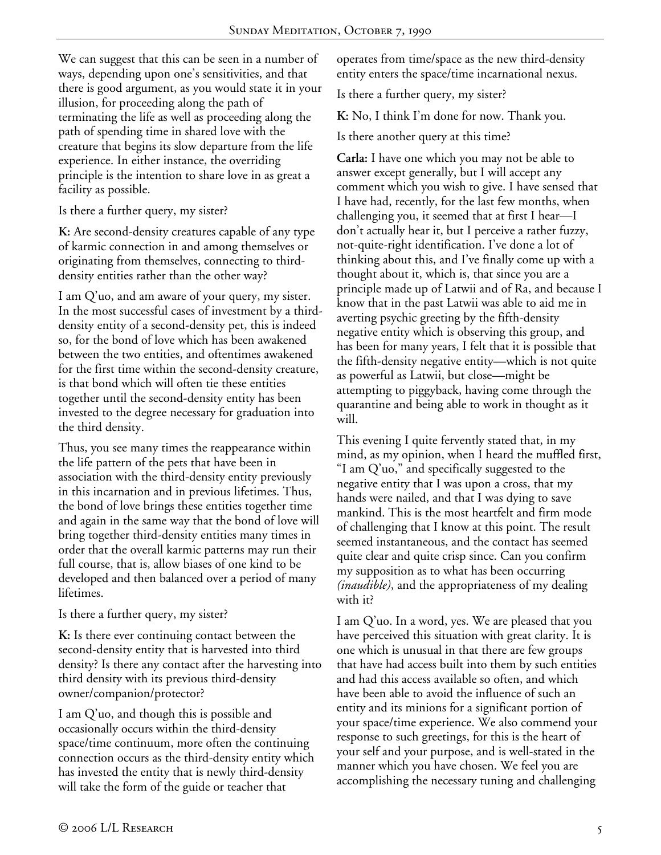We can suggest that this can be seen in a number of ways, depending upon one's sensitivities, and that there is good argument, as you would state it in your illusion, for proceeding along the path of terminating the life as well as proceeding along the path of spending time in shared love with the creature that begins its slow departure from the life experience. In either instance, the overriding principle is the intention to share love in as great a facility as possible.

Is there a further query, my sister?

**K:** Are second-density creatures capable of any type of karmic connection in and among themselves or originating from themselves, connecting to thirddensity entities rather than the other way?

I am Q'uo, and am aware of your query, my sister. In the most successful cases of investment by a thirddensity entity of a second-density pet, this is indeed so, for the bond of love which has been awakened between the two entities, and oftentimes awakened for the first time within the second-density creature, is that bond which will often tie these entities together until the second-density entity has been invested to the degree necessary for graduation into the third density.

Thus, you see many times the reappearance within the life pattern of the pets that have been in association with the third-density entity previously in this incarnation and in previous lifetimes. Thus, the bond of love brings these entities together time and again in the same way that the bond of love will bring together third-density entities many times in order that the overall karmic patterns may run their full course, that is, allow biases of one kind to be developed and then balanced over a period of many lifetimes.

Is there a further query, my sister?

**K:** Is there ever continuing contact between the second-density entity that is harvested into third density? Is there any contact after the harvesting into third density with its previous third-density owner/companion/protector?

I am Q'uo, and though this is possible and occasionally occurs within the third-density space/time continuum, more often the continuing connection occurs as the third-density entity which has invested the entity that is newly third-density will take the form of the guide or teacher that

operates from time/space as the new third-density entity enters the space/time incarnational nexus.

Is there a further query, my sister?

**K:** No, I think I'm done for now. Thank you.

Is there another query at this time?

**Carla:** I have one which you may not be able to answer except generally, but I will accept any comment which you wish to give. I have sensed that I have had, recently, for the last few months, when challenging you, it seemed that at first I hear—I don't actually hear it, but I perceive a rather fuzzy, not-quite-right identification. I've done a lot of thinking about this, and I've finally come up with a thought about it, which is, that since you are a principle made up of Latwii and of Ra, and because I know that in the past Latwii was able to aid me in averting psychic greeting by the fifth-density negative entity which is observing this group, and has been for many years, I felt that it is possible that the fifth-density negative entity—which is not quite as powerful as Latwii, but close—might be attempting to piggyback, having come through the quarantine and being able to work in thought as it will.

This evening I quite fervently stated that, in my mind, as my opinion, when I heard the muffled first, "I am Q'uo," and specifically suggested to the negative entity that I was upon a cross, that my hands were nailed, and that I was dying to save mankind. This is the most heartfelt and firm mode of challenging that I know at this point. The result seemed instantaneous, and the contact has seemed quite clear and quite crisp since. Can you confirm my supposition as to what has been occurring *(inaudible)*, and the appropriateness of my dealing with it?

I am Q'uo. In a word, yes. We are pleased that you have perceived this situation with great clarity. It is one which is unusual in that there are few groups that have had access built into them by such entities and had this access available so often, and which have been able to avoid the influence of such an entity and its minions for a significant portion of your space/time experience. We also commend your response to such greetings, for this is the heart of your self and your purpose, and is well-stated in the manner which you have chosen. We feel you are accomplishing the necessary tuning and challenging